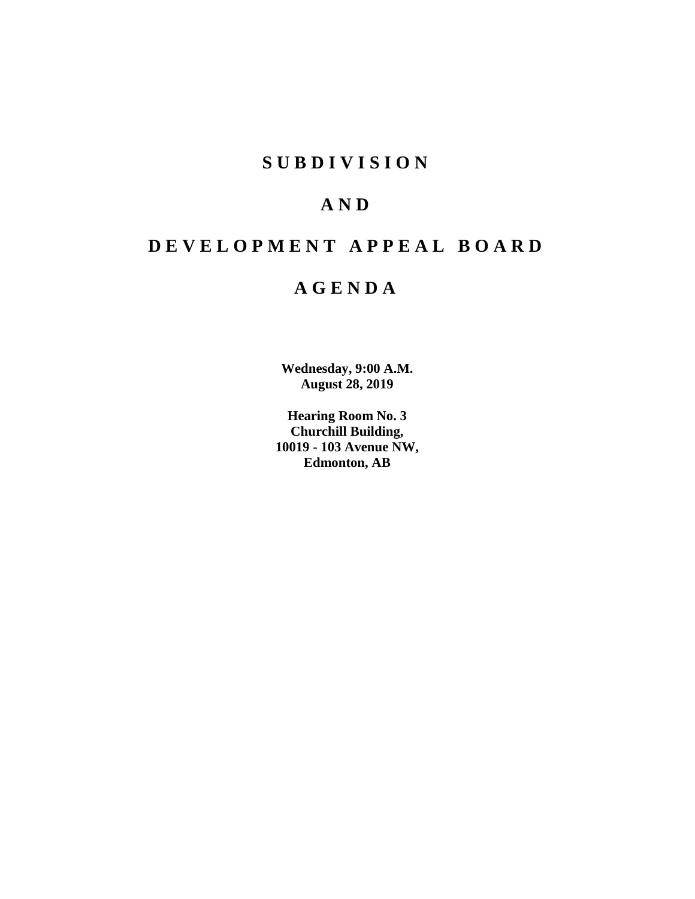# **SUBDIVISION**

# **AND**

# **DEVELOPMENT APPEAL BOARD**

# **AGENDA**

**Wednesday, 9:00 A.M. August 28, 2019**

**Hearing Room No. 3 Churchill Building, 10019 - 103 Avenue NW, Edmonton, AB**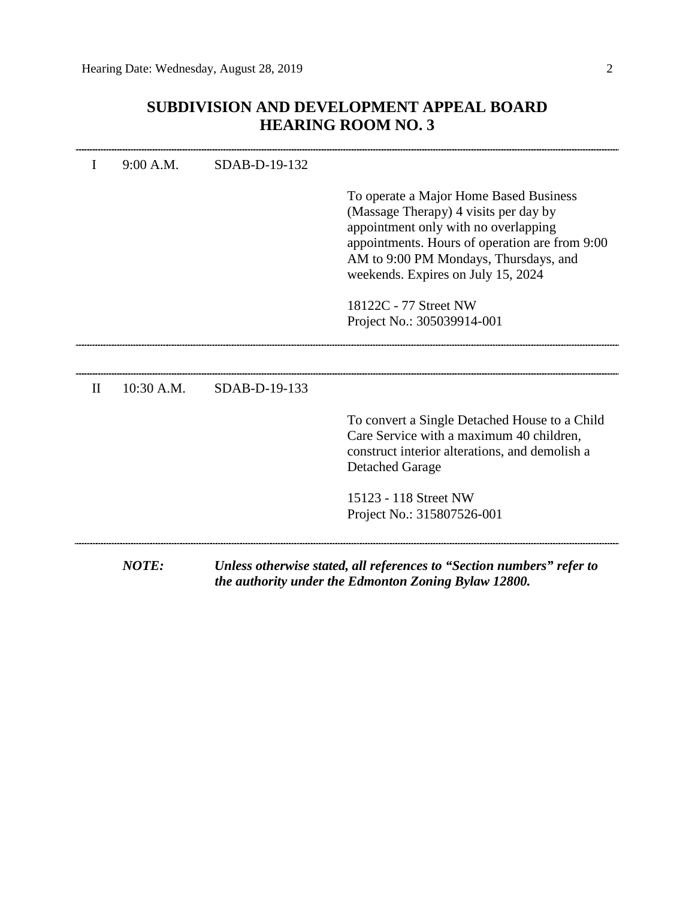# **SUBDIVISION AND DEVELOPMENT APPEAL BOARD HEARING ROOM NO. 3**

|              | 9:00 A.M.    | SDAB-D-19-132 |                                                                                                                                                                                                                                                          |
|--------------|--------------|---------------|----------------------------------------------------------------------------------------------------------------------------------------------------------------------------------------------------------------------------------------------------------|
|              |              |               | To operate a Major Home Based Business<br>(Massage Therapy) 4 visits per day by<br>appointment only with no overlapping<br>appointments. Hours of operation are from 9:00<br>AM to 9:00 PM Mondays, Thursdays, and<br>weekends. Expires on July 15, 2024 |
|              |              |               | 18122C - 77 Street NW<br>Project No.: 305039914-001                                                                                                                                                                                                      |
|              |              |               |                                                                                                                                                                                                                                                          |
| $\mathbf{I}$ | $10:30$ A.M. | SDAB-D-19-133 |                                                                                                                                                                                                                                                          |
|              |              |               | To convert a Single Detached House to a Child<br>Care Service with a maximum 40 children,<br>construct interior alterations, and demolish a<br><b>Detached Garage</b>                                                                                    |
|              |              |               | 15123 - 118 Street NW<br>Project No.: 315807526-001                                                                                                                                                                                                      |
|              | <b>NOTE:</b> |               | Unless otherwise stated, all references to "Section numbers" refer to                                                                                                                                                                                    |

*the authority under the Edmonton Zoning Bylaw 12800.*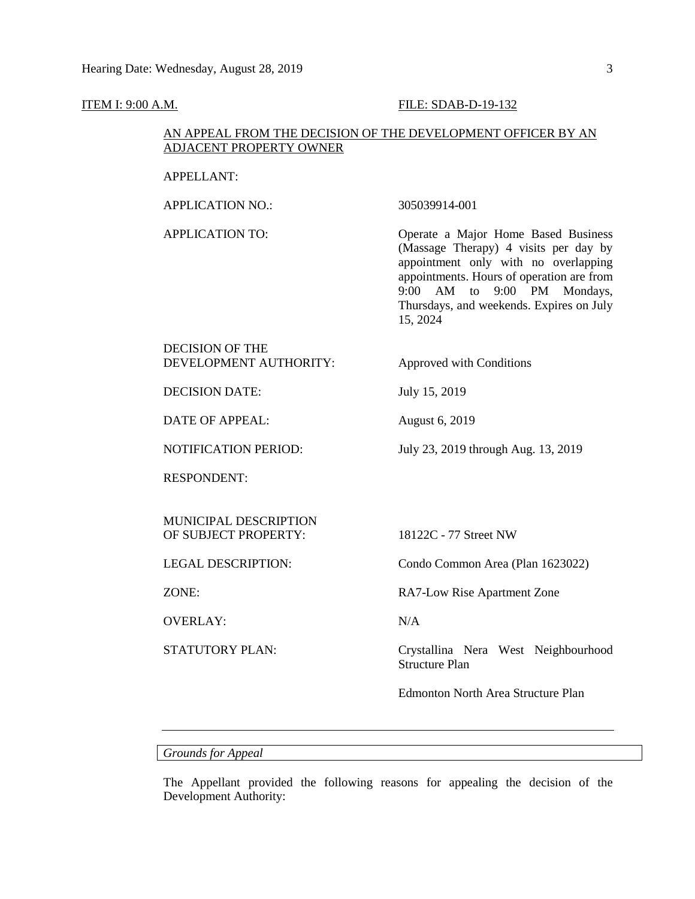#### **ITEM I: 9:00 A.M. FILE: SDAB-D-19-132**

# AN APPEAL FROM THE DECISION OF THE DEVELOPMENT OFFICER BY AN ADJACENT PROPERTY OWNER

### APPELLANT:

APPLICATION NO.: 305039914-001

APPLICATION TO: Operate a Major Home Based Business (Massage Therapy) 4 visits per day by appointment only with no overlapping appointments. Hours of operation are from 9:00 AM to 9:00 PM Mondays, Thursdays, and weekends. Expires on July 15, 2024

# DECISION OF THE DEVELOPMENT AUTHORITY: Approved with Conditions

DECISION DATE: July 15, 2019

DATE OF APPEAL: August 6, 2019

NOTIFICATION PERIOD: July 23, 2019 through Aug. 13, 2019

RESPONDENT:

MUNICIPAL DESCRIPTION OF SUBJECT PROPERTY: 18122C - 77 Street NW

OVERLAY: N/A

LEGAL DESCRIPTION: Condo Common Area (Plan 1623022)

ZONE: RA7-Low Rise Apartment Zone

STATUTORY PLAN: Crystallina Nera West Neighbourhood Structure Plan

Edmonton North Area Structure Plan

*Grounds for Appeal*

The Appellant provided the following reasons for appealing the decision of the Development Authority: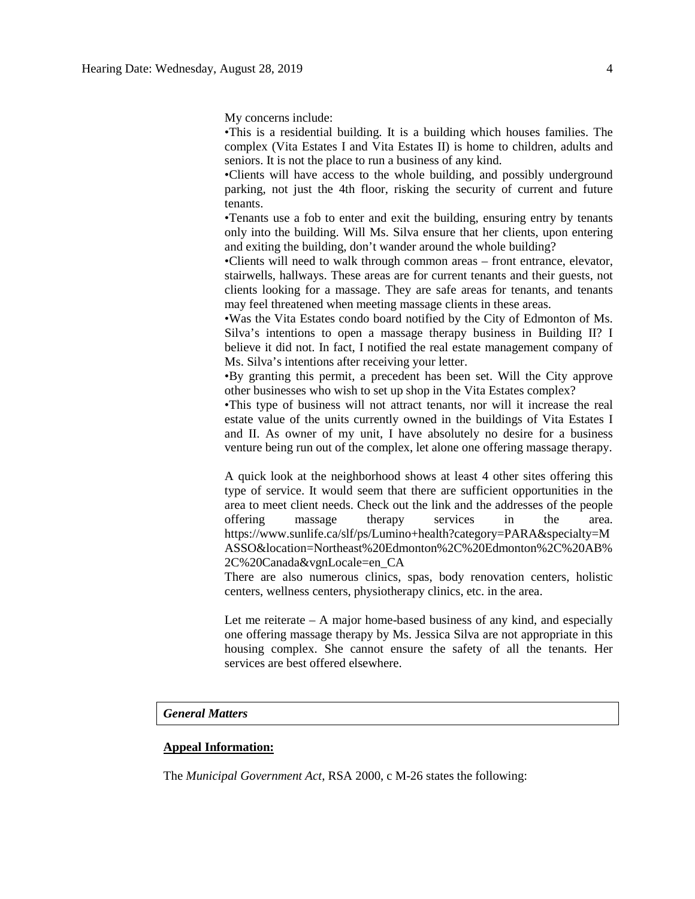My concerns include:

•This is a residential building. It is a building which houses families. The complex (Vita Estates I and Vita Estates II) is home to children, adults and seniors. It is not the place to run a business of any kind.

•Clients will have access to the whole building, and possibly underground parking, not just the 4th floor, risking the security of current and future tenants.

•Tenants use a fob to enter and exit the building, ensuring entry by tenants only into the building. Will Ms. Silva ensure that her clients, upon entering and exiting the building, don't wander around the whole building?

•Clients will need to walk through common areas – front entrance, elevator, stairwells, hallways. These areas are for current tenants and their guests, not clients looking for a massage. They are safe areas for tenants, and tenants may feel threatened when meeting massage clients in these areas.

•Was the Vita Estates condo board notified by the City of Edmonton of Ms. Silva's intentions to open a massage therapy business in Building II? I believe it did not. In fact, I notified the real estate management company of Ms. Silva's intentions after receiving your letter.

•By granting this permit, a precedent has been set. Will the City approve other businesses who wish to set up shop in the Vita Estates complex?

•This type of business will not attract tenants, nor will it increase the real estate value of the units currently owned in the buildings of Vita Estates I and II. As owner of my unit, I have absolutely no desire for a business venture being run out of the complex, let alone one offering massage therapy.

A quick look at the neighborhood shows at least 4 other sites offering this type of service. It would seem that there are sufficient opportunities in the area to meet client needs. Check out the link and the addresses of the people offering massage therapy services in the area. https://www.sunlife.ca/slf/ps/Lumino+health?category=PARA&specialty=M ASSO&location=Northeast%20Edmonton%2C%20Edmonton%2C%20AB% 2C%20Canada&vgnLocale=en\_CA

There are also numerous clinics, spas, body renovation centers, holistic centers, wellness centers, physiotherapy clinics, etc. in the area.

Let me reiterate – A major home-based business of any kind, and especially one offering massage therapy by Ms. Jessica Silva are not appropriate in this housing complex. She cannot ensure the safety of all the tenants. Her services are best offered elsewhere.

#### *General Matters*

### **Appeal Information:**

The *Municipal Government Act*, RSA 2000, c M-26 states the following: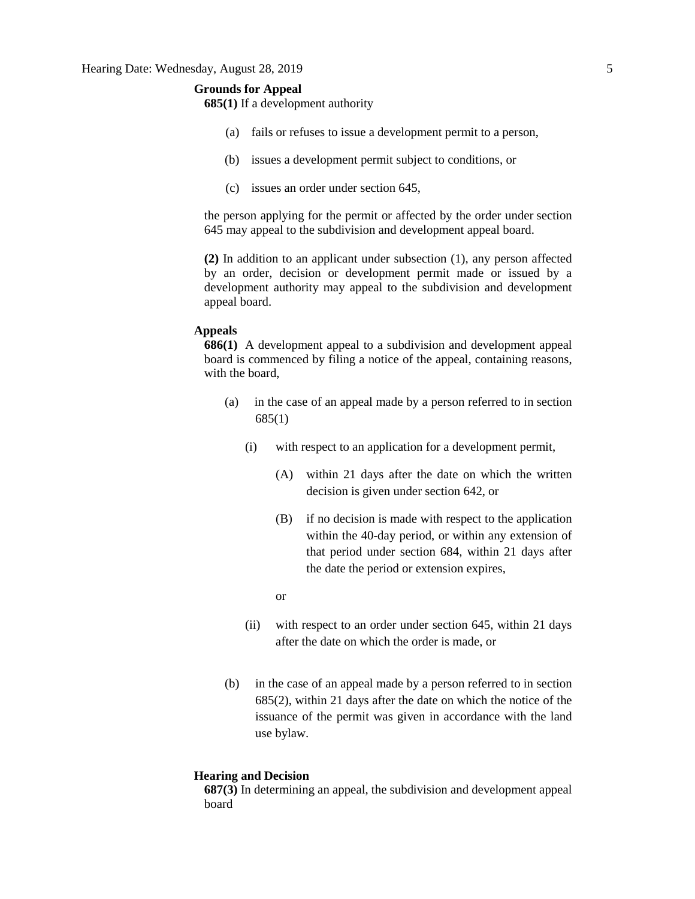# **Grounds for Appeal**

**685(1)** If a development authority

- (a) fails or refuses to issue a development permit to a person,
- (b) issues a development permit subject to conditions, or
- (c) issues an order under section 645,

the person applying for the permit or affected by the order under section 645 may appeal to the subdivision and development appeal board.

**(2)** In addition to an applicant under subsection (1), any person affected by an order, decision or development permit made or issued by a development authority may appeal to the subdivision and development appeal board.

### **Appeals**

**686(1)** A development appeal to a subdivision and development appeal board is commenced by filing a notice of the appeal, containing reasons, with the board,

- (a) in the case of an appeal made by a person referred to in section 685(1)
	- (i) with respect to an application for a development permit,
		- (A) within 21 days after the date on which the written decision is given under section 642, or
		- (B) if no decision is made with respect to the application within the 40-day period, or within any extension of that period under section 684, within 21 days after the date the period or extension expires,
		- or
	- (ii) with respect to an order under section 645, within 21 days after the date on which the order is made, or
- (b) in the case of an appeal made by a person referred to in section 685(2), within 21 days after the date on which the notice of the issuance of the permit was given in accordance with the land use bylaw.

#### **Hearing and Decision**

**687(3)** In determining an appeal, the subdivision and development appeal board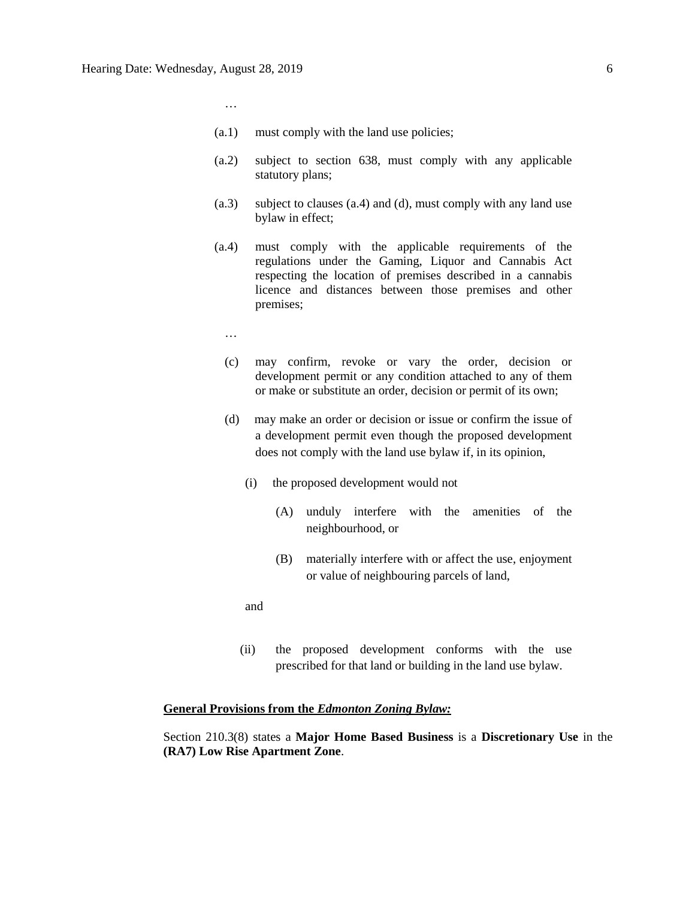…

- (a.1) must comply with the land use policies;
- (a.2) subject to section 638, must comply with any applicable statutory plans;
- (a.3) subject to clauses (a.4) and (d), must comply with any land use bylaw in effect;
- (a.4) must comply with the applicable requirements of the regulations under the Gaming, Liquor and Cannabis Act respecting the location of premises described in a cannabis licence and distances between those premises and other premises;
	- …
	- (c) may confirm, revoke or vary the order, decision or development permit or any condition attached to any of them or make or substitute an order, decision or permit of its own;
	- (d) may make an order or decision or issue or confirm the issue of a development permit even though the proposed development does not comply with the land use bylaw if, in its opinion,
		- (i) the proposed development would not
			- (A) unduly interfere with the amenities of the neighbourhood, or
			- (B) materially interfere with or affect the use, enjoyment or value of neighbouring parcels of land,

and

(ii) the proposed development conforms with the use prescribed for that land or building in the land use bylaw.

#### **General Provisions from the** *Edmonton Zoning Bylaw:*

Section 210.3(8) states a **Major Home Based Business** is a **Discretionary Use** in the **(RA7) Low Rise Apartment Zone**.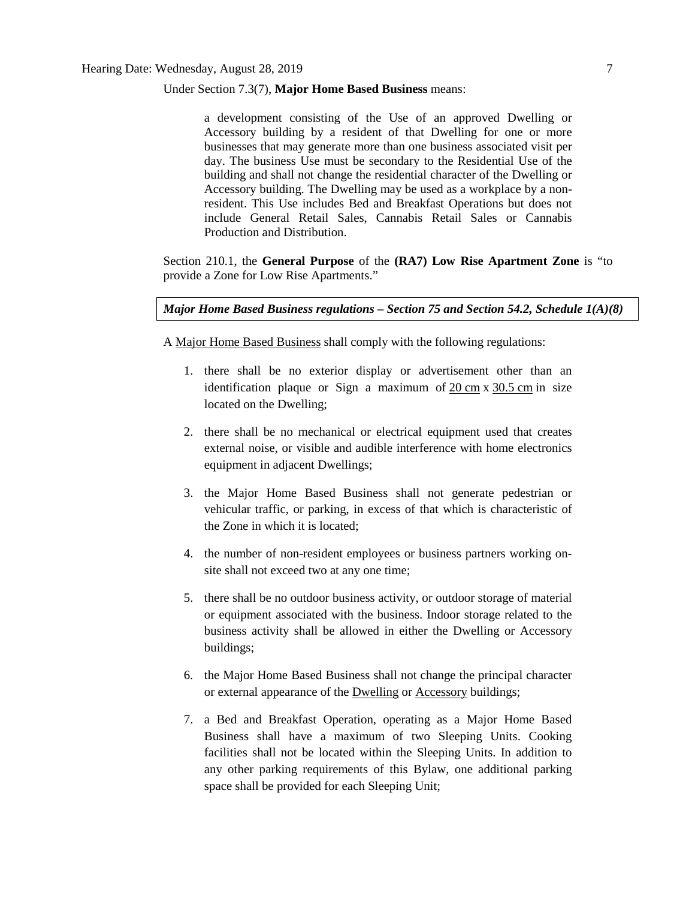### Under Section 7.3(7), **Major Home Based Business** means:

a development consisting of the Use of an approved Dwelling or Accessory building by a resident of that Dwelling for one or more businesses that may generate more than one business associated visit per day. The business Use must be secondary to the Residential Use of the building and shall not change the residential character of the Dwelling or Accessory building. The Dwelling may be used as a workplace by a nonresident. This Use includes Bed and Breakfast Operations but does not include General Retail Sales, Cannabis Retail Sales or Cannabis Production and Distribution.

Section 210.1, the **General Purpose** of the **(RA7) Low Rise Apartment Zone** is "to provide a Zone for Low Rise Apartments."

*Major Home Based Business regulations – Section 75 and Section 54.2, Schedule 1(A)(8)*

A [Major Home Based Business](javascript:void(0);) shall comply with the following regulations:

- 1. there shall be no exterior display or advertisement other than an identification plaque or Sign a maximum of  $20 \text{ cm} \times 30.5 \text{ cm}$  $20 \text{ cm} \times 30.5 \text{ cm}$  $20 \text{ cm} \times 30.5 \text{ cm}$  $20 \text{ cm} \times 30.5 \text{ cm}$  $20 \text{ cm} \times 30.5 \text{ cm}$  in size located on the Dwelling;
- 2. there shall be no mechanical or electrical equipment used that creates external noise, or visible and audible interference with home electronics equipment in adjacent Dwellings;
- 3. the Major Home Based Business shall not generate pedestrian or vehicular traffic, or parking, in excess of that which is characteristic of the Zone in which it is located;
- 4. the number of non-resident employees or business partners working onsite shall not exceed two at any one time;
- 5. there shall be no outdoor business activity, or outdoor storage of material or equipment associated with the business. Indoor storage related to the business activity shall be allowed in either the Dwelling or Accessory buildings;
- 6. the Major Home Based Business shall not change the principal character or external appearance of the **[Dwelling](javascript:void(0);) or [Accessory](javascript:void(0);)** buildings;
- 7. a Bed and Breakfast Operation, operating as a Major Home Based Business shall have a maximum of two Sleeping Units. Cooking facilities shall not be located within the Sleeping Units. In addition to any other parking requirements of this Bylaw, one additional parking space shall be provided for each Sleeping Unit;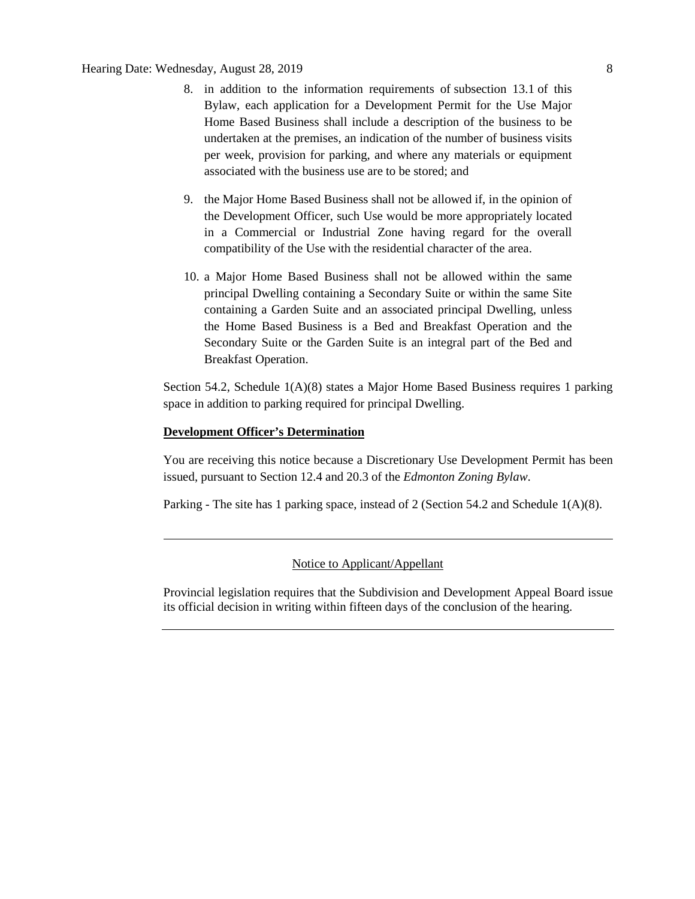- 8. in addition to the information requirements of [subsection 13.1](https://webdocs.edmonton.ca/InfraPlan/zoningbylaw/ZoningBylaw/Part1/Administrative/13__Development_Permit_Application.htm) of this Bylaw, each application for a Development Permit for the Use Major Home Based Business shall include a description of the business to be undertaken at the premises, an indication of the number of business visits per week, provision for parking, and where any materials or equipment associated with the business use are to be stored; and
- 9. the [Major Home Based Business](javascript:void(0);) shall not be allowed if, in the opinion of the Development Officer, such Use would be more appropriately located in a Commercial or Industrial Zone having regard for the overall compatibility of the Use with the residential character of the area.
- 10. a Major Home Based Business shall not be allowed within the same principal Dwelling containing a Secondary Suite or within the same Site containing a Garden Suite and an associated principal Dwelling, unless the Home Based Business is a Bed and Breakfast Operation and the Secondary Suite or the Garden Suite is an integral part of the Bed and Breakfast Operation.

Section 54.2, Schedule 1(A)(8) states a Major Home Based Business requires 1 parking space in addition to parking required for principal Dwelling.

#### **Development Officer's Determination**

You are receiving this notice because a Discretionary Use Development Permit has been issued, pursuant to Section 12.4 and 20.3 of the *Edmonton Zoning Bylaw*.

Parking - The site has 1 parking space, instead of 2 (Section 54.2 and Schedule 1(A)(8).

### Notice to Applicant/Appellant

Provincial legislation requires that the Subdivision and Development Appeal Board issue its official decision in writing within fifteen days of the conclusion of the hearing.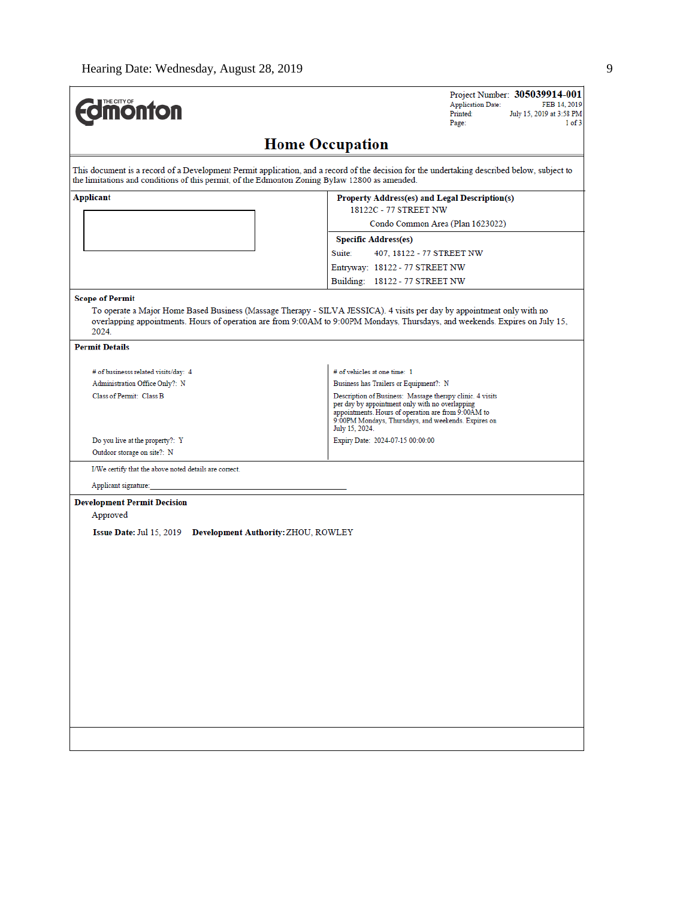| THE CITY OF                                                                                                    | Project Number: 305039914-001<br><b>Application Date:</b><br>FEB 14, 2019<br>Printed:<br>July 15, 2019 at 3:58 PM<br>Page:<br>1 of 3                                                                                                                   |
|----------------------------------------------------------------------------------------------------------------|--------------------------------------------------------------------------------------------------------------------------------------------------------------------------------------------------------------------------------------------------------|
|                                                                                                                | <b>Home Occupation</b>                                                                                                                                                                                                                                 |
| the limitations and conditions of this permit, of the Edmonton Zoning Bylaw 12800 as amended.                  | This document is a record of a Development Permit application, and a record of the decision for the undertaking described below, subject to                                                                                                            |
| <b>Applicant</b>                                                                                               | Property Address(es) and Legal Description(s)<br>18122C - 77 STREET NW                                                                                                                                                                                 |
|                                                                                                                | Condo Common Area (Plan 1623022)                                                                                                                                                                                                                       |
|                                                                                                                | <b>Specific Address(es)</b>                                                                                                                                                                                                                            |
|                                                                                                                | Suite:<br>407, 18122 - 77 STREET NW                                                                                                                                                                                                                    |
|                                                                                                                | Entryway: 18122 - 77 STREET NW                                                                                                                                                                                                                         |
|                                                                                                                | Building: 18122 - 77 STREET NW                                                                                                                                                                                                                         |
| 2024.                                                                                                          | To operate a Major Home Based Business (Massage Therapy - SILVA JESSICA). 4 visits per day by appointment only with no<br>overlapping appointments. Hours of operation are from 9:00AM to 9:00PM Mondays, Thursdays, and weekends. Expires on July 15, |
| <b>Permit Details</b>                                                                                          |                                                                                                                                                                                                                                                        |
| # of businesss related visits/day: 4                                                                           | # of vehicles at one time: 1                                                                                                                                                                                                                           |
| Administration Office Only?: N                                                                                 | Business has Trailers or Equipment?: N                                                                                                                                                                                                                 |
| Class of Permit: Class B                                                                                       | Description of Business: Massage therapy clinic. 4 visits<br>per day by appointment only with no overlapping<br>appointments. Hours of operation are from 9:00AM to<br>9:00PM Mondays, Thursdays, and weekends. Expires on<br>July 15, 2024.           |
| Do you live at the property?: Y<br>Outdoor storage on site?: N                                                 | Expiry Date: 2024-07-15 00:00:00                                                                                                                                                                                                                       |
| I/We certify that the above noted details are correct.                                                         |                                                                                                                                                                                                                                                        |
| Applicant signature:                                                                                           |                                                                                                                                                                                                                                                        |
| <b>Development Permit Decision</b><br>Approved<br>Issue Date: Jul 15, 2019 Development Authority: ZHOU, ROWLEY |                                                                                                                                                                                                                                                        |
|                                                                                                                |                                                                                                                                                                                                                                                        |
|                                                                                                                |                                                                                                                                                                                                                                                        |
|                                                                                                                |                                                                                                                                                                                                                                                        |
|                                                                                                                |                                                                                                                                                                                                                                                        |
|                                                                                                                |                                                                                                                                                                                                                                                        |
|                                                                                                                |                                                                                                                                                                                                                                                        |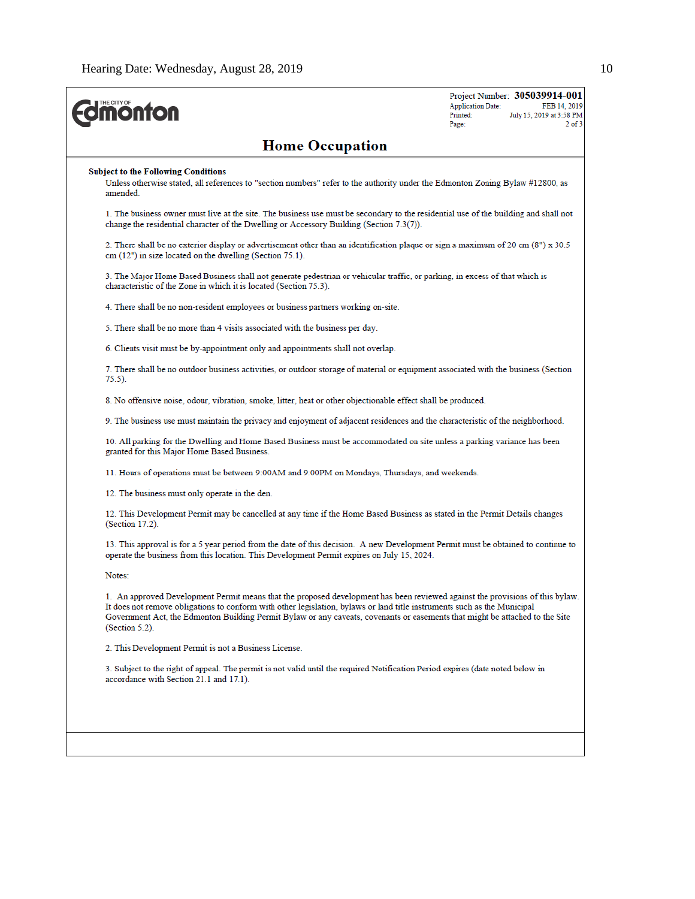| <b><i><u><b>MONTON</b></u></i></b>                                                                                                                                                                                                                                                                                                                                                                          | Project Number: 305039914-001<br><b>Application Date:</b><br>FEB 14, 2019<br>Printed:<br>July 15, 2019 at 3:58 PM<br>Page: |
|-------------------------------------------------------------------------------------------------------------------------------------------------------------------------------------------------------------------------------------------------------------------------------------------------------------------------------------------------------------------------------------------------------------|----------------------------------------------------------------------------------------------------------------------------|
| <b>Home Occupation</b>                                                                                                                                                                                                                                                                                                                                                                                      |                                                                                                                            |
| <b>Subject to the Following Conditions</b><br>Unless otherwise stated, all references to "section numbers" refer to the authority under the Edmonton Zoning Bylaw #12800, as<br>amended.                                                                                                                                                                                                                    |                                                                                                                            |
| 1. The business owner must live at the site. The business use must be secondary to the residential use of the building and shall not<br>change the residential character of the Dwelling or Accessory Building (Section 7.3(7)).                                                                                                                                                                            |                                                                                                                            |
| 2. There shall be no exterior display or advertisement other than an identification plaque or sign a maximum of 20 cm (8") x 30.5<br>$cm(12")$ in size located on the dwelling (Section 75.1).                                                                                                                                                                                                              |                                                                                                                            |
| 3. The Major Home Based Business shall not generate pedestrian or vehicular traffic, or parking, in excess of that which is<br>characteristic of the Zone in which it is located (Section 75.3).                                                                                                                                                                                                            |                                                                                                                            |
| 4. There shall be no non-resident employees or business partners working on-site.                                                                                                                                                                                                                                                                                                                           |                                                                                                                            |
| 5. There shall be no more than 4 visits associated with the business per day.                                                                                                                                                                                                                                                                                                                               |                                                                                                                            |
| 6. Clients visit must be by-appointment only and appointments shall not overlap.                                                                                                                                                                                                                                                                                                                            |                                                                                                                            |
| 7. There shall be no outdoor business activities, or outdoor storage of material or equipment associated with the business (Section<br>$75.5$ ).                                                                                                                                                                                                                                                            |                                                                                                                            |
| 8. No offensive noise, odour, vibration, smoke, litter, heat or other objectionable effect shall be produced.                                                                                                                                                                                                                                                                                               |                                                                                                                            |
| 9. The business use must maintain the privacy and enjoyment of adjacent residences and the characteristic of the neighborhood.                                                                                                                                                                                                                                                                              |                                                                                                                            |
| 10. All parking for the Dwelling and Home Based Business must be accommodated on site unless a parking variance has been<br>granted for this Major Home Based Business.                                                                                                                                                                                                                                     |                                                                                                                            |
| 11. Hours of operations must be between 9:00AM and 9:00PM on Mondays, Thursdays, and weekends.                                                                                                                                                                                                                                                                                                              |                                                                                                                            |
| 12. The business must only operate in the den.                                                                                                                                                                                                                                                                                                                                                              |                                                                                                                            |
| 12. This Development Permit may be cancelled at any time if the Home Based Business as stated in the Permit Details changes<br>$(Section 17.2)$ .                                                                                                                                                                                                                                                           |                                                                                                                            |
| 13. This approval is for a 5 year period from the date of this decision. A new Development Permit must be obtained to continue to<br>operate the business from this location. This Development Permit expires on July 15, 2024.                                                                                                                                                                             |                                                                                                                            |
| Notes:                                                                                                                                                                                                                                                                                                                                                                                                      |                                                                                                                            |
| 1. An approved Development Permit means that the proposed development has been reviewed against the provisions of this bylaw.<br>It does not remove obligations to conform with other legislation, bylaws or land title instruments such as the Municipal<br>Government Act, the Edmonton Building Permit Bylaw or any caveats, covenants or easements that might be attached to the Site<br>(Section 5.2). |                                                                                                                            |
| 2. This Development Permit is not a Business License.                                                                                                                                                                                                                                                                                                                                                       |                                                                                                                            |
| 3. Subject to the right of appeal. The permit is not valid until the required Notification Period expires (date noted below in<br>accordance with Section 21.1 and 17.1).                                                                                                                                                                                                                                   |                                                                                                                            |
|                                                                                                                                                                                                                                                                                                                                                                                                             |                                                                                                                            |
|                                                                                                                                                                                                                                                                                                                                                                                                             |                                                                                                                            |
|                                                                                                                                                                                                                                                                                                                                                                                                             |                                                                                                                            |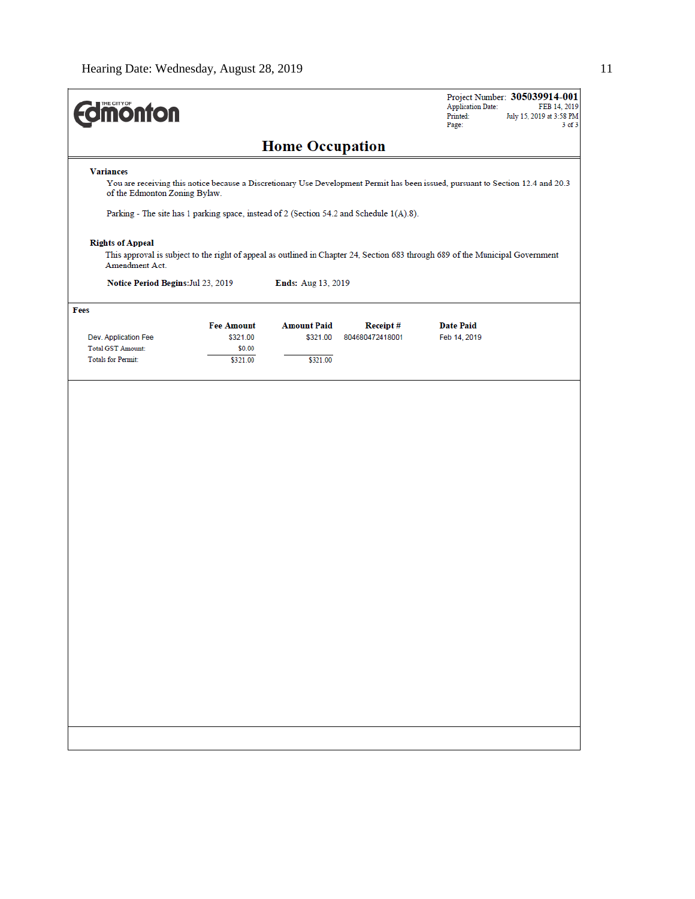| <b>Variances</b><br>You are receiving this notice because a Discretionary Use Development Permit has been issued, pursuant to Section 12.4 and 20.3<br>of the Edmonton Zoning Bylaw.<br>Parking - The site has 1 parking space, instead of 2 (Section 54.2 and Schedule 1(A).8). |                               | <b>Home Occupation</b>         |                             |                                  |  |
|----------------------------------------------------------------------------------------------------------------------------------------------------------------------------------------------------------------------------------------------------------------------------------|-------------------------------|--------------------------------|-----------------------------|----------------------------------|--|
|                                                                                                                                                                                                                                                                                  |                               |                                |                             |                                  |  |
|                                                                                                                                                                                                                                                                                  |                               |                                |                             |                                  |  |
|                                                                                                                                                                                                                                                                                  |                               |                                |                             |                                  |  |
|                                                                                                                                                                                                                                                                                  |                               |                                |                             |                                  |  |
| <b>Rights of Appeal</b><br>This approval is subject to the right of appeal as outlined in Chapter 24, Section 683 through 689 of the Municipal Government<br>Amendment Act.                                                                                                      |                               |                                |                             |                                  |  |
| Notice Period Begins: Jul 23, 2019                                                                                                                                                                                                                                               |                               | Ends: Aug 13, 2019             |                             |                                  |  |
| Fees                                                                                                                                                                                                                                                                             |                               |                                |                             |                                  |  |
| Dev. Application Fee                                                                                                                                                                                                                                                             | <b>Fee Amount</b><br>\$321.00 | <b>Amount Paid</b><br>\$321.00 | Receipt#<br>804680472418001 | <b>Date Paid</b><br>Feb 14, 2019 |  |
| <b>Total GST Amount:</b>                                                                                                                                                                                                                                                         | \$0.00                        |                                |                             |                                  |  |
| <b>Totals for Permit:</b>                                                                                                                                                                                                                                                        | \$321.00                      | \$321.00                       |                             |                                  |  |
|                                                                                                                                                                                                                                                                                  |                               |                                |                             |                                  |  |
|                                                                                                                                                                                                                                                                                  |                               |                                |                             |                                  |  |
|                                                                                                                                                                                                                                                                                  |                               |                                |                             |                                  |  |
|                                                                                                                                                                                                                                                                                  |                               |                                |                             |                                  |  |
|                                                                                                                                                                                                                                                                                  |                               |                                |                             |                                  |  |
|                                                                                                                                                                                                                                                                                  |                               |                                |                             |                                  |  |
|                                                                                                                                                                                                                                                                                  |                               |                                |                             |                                  |  |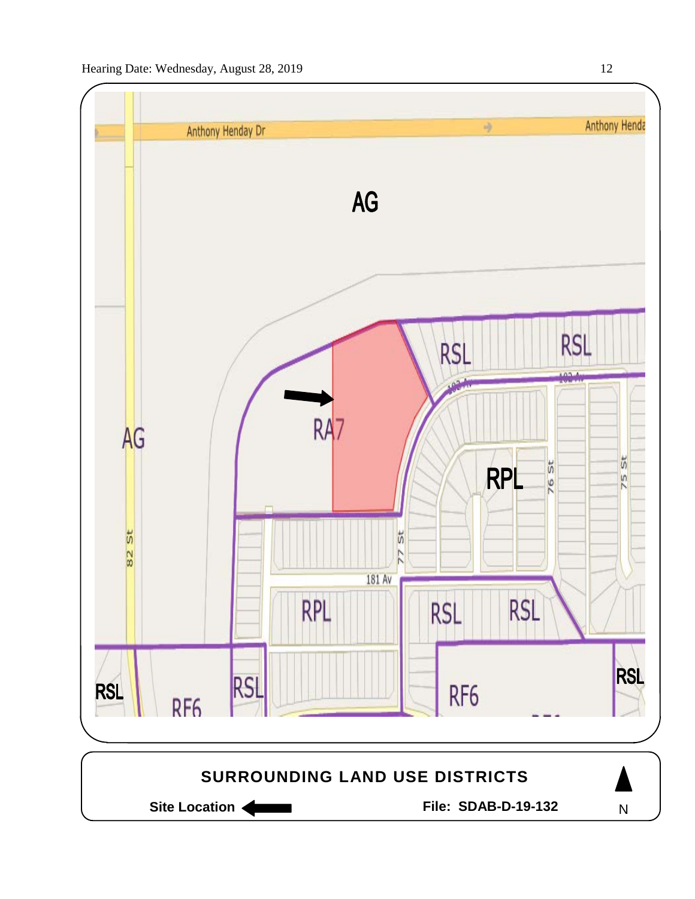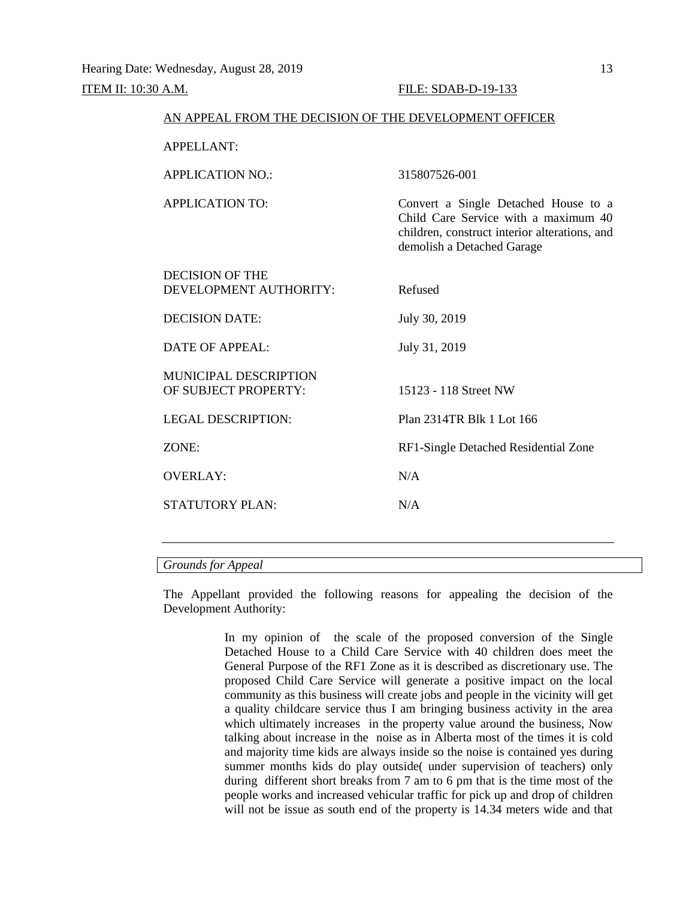#### ITEM II: 10:30 A.M. FILE: SDAB-D-19-133

|                                                      | AN APPEAL FROM THE DECISION OF THE DEVELOPMENT OFFICER                                                                                                      |
|------------------------------------------------------|-------------------------------------------------------------------------------------------------------------------------------------------------------------|
| <b>APPELLANT:</b>                                    |                                                                                                                                                             |
| <b>APPLICATION NO.:</b>                              | 315807526-001                                                                                                                                               |
| APPLICATION TO:                                      | Convert a Single Detached House to a<br>Child Care Service with a maximum 40<br>children, construct interior alterations, and<br>demolish a Detached Garage |
| <b>DECISION OF THE</b><br>DEVELOPMENT AUTHORITY:     | Refused                                                                                                                                                     |
| <b>DECISION DATE:</b>                                | July 30, 2019                                                                                                                                               |
| DATE OF APPEAL:                                      | July 31, 2019                                                                                                                                               |
| <b>MUNICIPAL DESCRIPTION</b><br>OF SUBJECT PROPERTY: | 15123 - 118 Street NW                                                                                                                                       |
| <b>LEGAL DESCRIPTION:</b>                            | Plan 2314TR Blk 1 Lot 166                                                                                                                                   |
| ZONE:                                                | RF1-Single Detached Residential Zone                                                                                                                        |
| <b>OVERLAY:</b>                                      | N/A                                                                                                                                                         |
| <b>STATUTORY PLAN:</b>                               | N/A                                                                                                                                                         |
|                                                      |                                                                                                                                                             |

# *Grounds for Appeal*

The Appellant provided the following reasons for appealing the decision of the Development Authority:

> In my opinion of the scale of the proposed conversion of the Single Detached House to a Child Care Service with 40 children does meet the General Purpose of the RF1 Zone as it is described as discretionary use. The proposed Child Care Service will generate a positive impact on the local community as this business will create jobs and people in the vicinity will get a quality childcare service thus I am bringing business activity in the area which ultimately increases in the property value around the business, Now talking about increase in the noise as in Alberta most of the times it is cold and majority time kids are always inside so the noise is contained yes during summer months kids do play outside( under supervision of teachers) only during different short breaks from 7 am to 6 pm that is the time most of the people works and increased vehicular traffic for pick up and drop of children will not be issue as south end of the property is 14.34 meters wide and that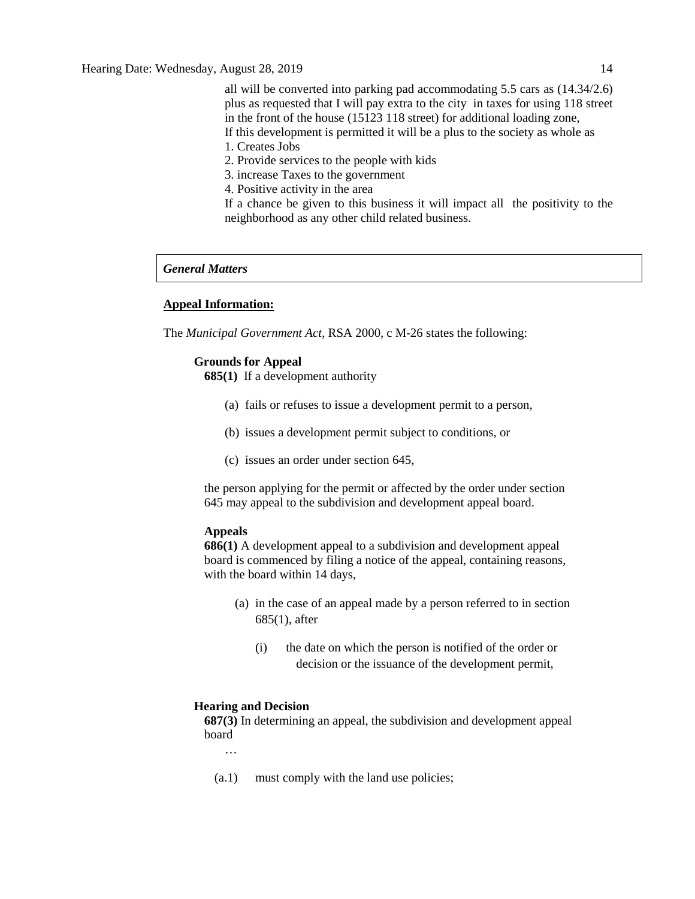all will be converted into parking pad accommodating 5.5 cars as (14.34/2.6) plus as requested that I will pay extra to the city in taxes for using 118 street in the front of the house (15123 118 street) for additional loading zone, If this development is permitted it will be a plus to the society as whole as 1. Creates Jobs

- 2. Provide services to the people with kids
- 3. increase Taxes to the government
- 4. Positive activity in the area

If a chance be given to this business it will impact all the positivity to the neighborhood as any other child related business.

# *General Matters*

#### **Appeal Information:**

The *Municipal Government Act*, RSA 2000, c M-26 states the following:

#### **Grounds for Appeal**

**685(1)** If a development authority

- (a) fails or refuses to issue a development permit to a person,
- (b) issues a development permit subject to conditions, or
- (c) issues an order under section 645,

the person applying for the permit or affected by the order under section 645 may appeal to the subdivision and development appeal board.

#### **Appeals**

**686(1)** A development appeal to a subdivision and development appeal board is commenced by filing a notice of the appeal, containing reasons, with the board within 14 days,

- (a) in the case of an appeal made by a person referred to in section 685(1), after
	- (i) the date on which the person is notified of the order or decision or the issuance of the development permit,

#### **Hearing and Decision**

**687(3)** In determining an appeal, the subdivision and development appeal board

…

(a.1) must comply with the land use policies;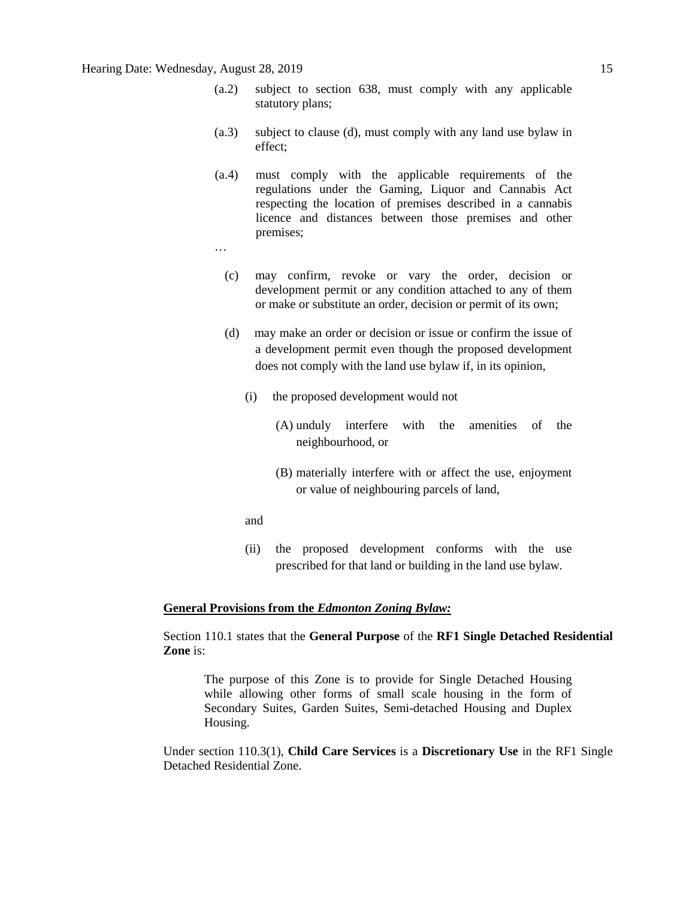# Hearing Date: Wednesday, August 28, 2019 15

- (a.2) subject to section 638, must comply with any applicable statutory plans;
- (a.3) subject to clause (d), must comply with any land use bylaw in effect;
- (a.4) must comply with the applicable requirements of the regulations under the Gaming, Liquor and Cannabis Act respecting the location of premises described in a cannabis licence and distances between those premises and other premises;
- …
	- (c) may confirm, revoke or vary the order, decision or development permit or any condition attached to any of them or make or substitute an order, decision or permit of its own;
	- (d) may make an order or decision or issue or confirm the issue of a development permit even though the proposed development does not comply with the land use bylaw if, in its opinion,
		- (i) the proposed development would not
			- (A) unduly interfere with the amenities of the neighbourhood, or
			- (B) materially interfere with or affect the use, enjoyment or value of neighbouring parcels of land,
		- and
		- (ii) the proposed development conforms with the use prescribed for that land or building in the land use bylaw.

#### **General Provisions from the** *Edmonton Zoning Bylaw:*

Section 110.1 states that the **General Purpose** of the **RF1 Single Detached Residential Zone** is:

The purpose of this Zone is to provide for Single Detached Housing while allowing other forms of small scale housing in the form of Secondary Suites, Garden Suites, Semi-detached Housing and Duplex Housing.

Under section 110.3(1), **Child Care Services** is a **Discretionary Use** in the RF1 Single Detached Residential Zone.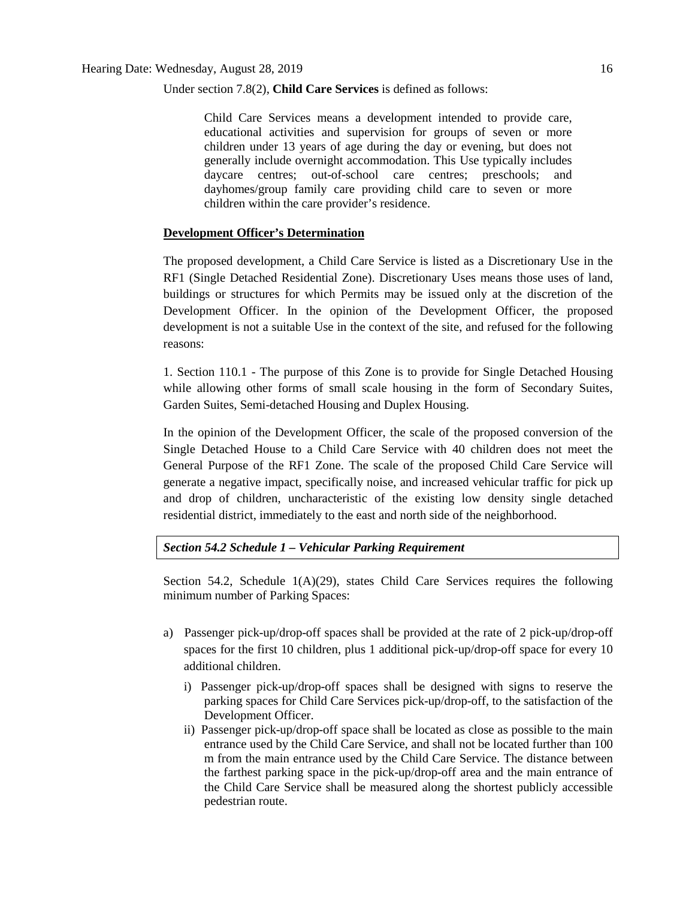Under section 7.8(2), **Child Care Services** is defined as follows:

Child Care Services means a development intended to provide care, educational activities and supervision for groups of seven or more children under 13 years of age during the day or evening, but does not generally include overnight accommodation. This Use typically includes daycare centres; out-of-school care centres; preschools; and dayhomes/group family care providing child care to seven or more children within the care provider's residence.

### **Development Officer's Determination**

The proposed development, a Child Care Service is listed as a Discretionary Use in the RF1 (Single Detached Residential Zone). Discretionary Uses means those uses of land, buildings or structures for which Permits may be issued only at the discretion of the Development Officer. In the opinion of the Development Officer, the proposed development is not a suitable Use in the context of the site, and refused for the following reasons:

1. Section 110.1 - The purpose of this Zone is to provide for Single Detached Housing while allowing other forms of small scale housing in the form of Secondary Suites, Garden Suites, Semi-detached Housing and Duplex Housing.

In the opinion of the Development Officer, the scale of the proposed conversion of the Single Detached House to a Child Care Service with 40 children does not meet the General Purpose of the RF1 Zone. The scale of the proposed Child Care Service will generate a negative impact, specifically noise, and increased vehicular traffic for pick up and drop of children, uncharacteristic of the existing low density single detached residential district, immediately to the east and north side of the neighborhood.

#### *Section 54.2 Schedule 1 – Vehicular Parking Requirement*

Section 54.2, Schedule  $1(A)(29)$ , states Child Care Services requires the following minimum number of Parking Spaces:

- a) Passenger pick-up/drop-off spaces shall be provided at the rate of 2 pick-up/drop-off spaces for the first 10 children, plus 1 additional pick-up/drop-off space for every 10 additional children.
	- i) Passenger pick-up/drop-off spaces shall be designed with signs to reserve the parking spaces for Child Care Services pick-up/drop-off, to the satisfaction of the Development Officer.
	- ii) Passenger pick-up/drop-off space shall be located as close as possible to the main entrance used by the Child Care Service, and shall not be located further than 100 m from the main entrance used by the Child Care Service. The distance between the farthest parking space in the pick-up/drop-off area and the main entrance of the Child Care Service shall be measured along the shortest publicly accessible pedestrian route.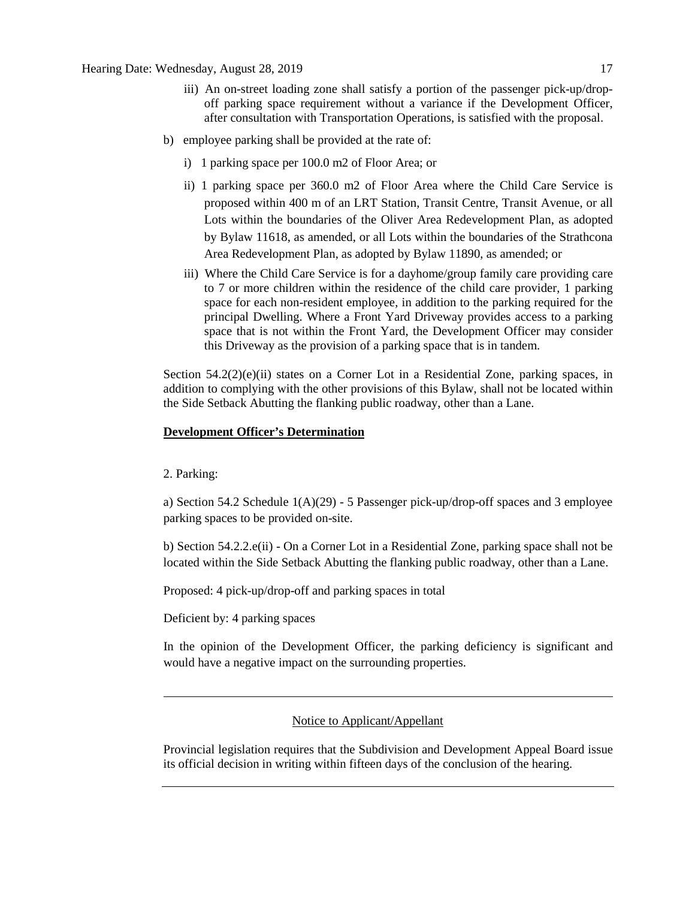- iii) An on-street loading zone shall satisfy a portion of the passenger pick-up/dropoff parking space requirement without a variance if the Development Officer, after consultation with Transportation Operations, is satisfied with the proposal.
- b) employee parking shall be provided at the rate of:
	- i) 1 parking space per 100.0 m2 of Floor Area; or
	- ii) 1 parking space per 360.0 m2 of Floor Area where the Child Care Service is proposed within 400 m of an LRT Station, Transit Centre, Transit Avenue, or all Lots within the boundaries of the Oliver Area Redevelopment Plan, as adopted by Bylaw 11618, as amended, or all Lots within the boundaries of the Strathcona Area Redevelopment Plan, as adopted by Bylaw 11890, as amended; or
	- iii) Where the Child Care Service is for a dayhome/group family care providing care to 7 or more children within the residence of the child care provider, 1 parking space for each non-resident employee, in addition to the parking required for the principal Dwelling. Where a Front Yard Driveway provides access to a parking space that is not within the Front Yard, the Development Officer may consider this Driveway as the provision of a parking space that is in tandem.

Section  $54.2(2)(e)(ii)$  states on a Corner Lot in a Residential Zone, parking spaces, in addition to complying with the other provisions of this Bylaw, shall not be located within the Side Setback Abutting the flanking public roadway, other than a Lane.

# **Development Officer's Determination**

2. Parking:

a) Section 54.2 Schedule  $1(A)(29)$  - 5 Passenger pick-up/drop-off spaces and 3 employee parking spaces to be provided on-site.

b) Section 54.2.2.e(ii) - On a Corner Lot in a Residential Zone, parking space shall not be located within the Side Setback Abutting the flanking public roadway, other than a Lane.

Proposed: 4 pick-up/drop-off and parking spaces in total

Deficient by: 4 parking spaces

In the opinion of the Development Officer, the parking deficiency is significant and would have a negative impact on the surrounding properties.

# Notice to Applicant/Appellant

Provincial legislation requires that the Subdivision and Development Appeal Board issue its official decision in writing within fifteen days of the conclusion of the hearing.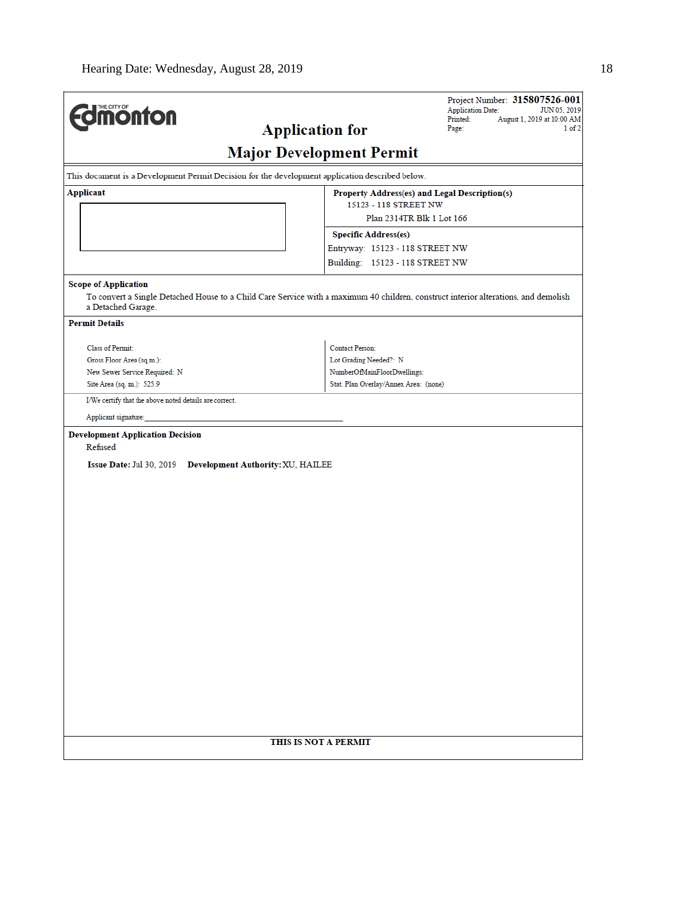| <b>dimonton</b>                                                                                                                   | Project Number: 315807526-001<br><b>Application Date:</b><br>JUN 05, 2019<br>August 1, 2019 at 10:00 AM<br>Printed:<br><b>Application for</b><br>1 of 2<br>Page: |
|-----------------------------------------------------------------------------------------------------------------------------------|------------------------------------------------------------------------------------------------------------------------------------------------------------------|
|                                                                                                                                   | <b>Major Development Permit</b>                                                                                                                                  |
| This document is a Development Permit Decision for the development application described below.                                   |                                                                                                                                                                  |
| <b>Applicant</b>                                                                                                                  | Property Address(es) and Legal Description(s)<br>15123 - 118 STREET NW<br>Plan 2314TR Blk 1 Lot 166                                                              |
|                                                                                                                                   | <b>Specific Address(es)</b><br>Entryway: 15123 - 118 STREET NW<br>Building: 15123 - 118 STREET NW                                                                |
| <b>Scope of Application</b><br>a Detached Garage.                                                                                 | To convert a Single Detached House to a Child Care Service with a maximum 40 children, construct interior alterations, and demolish                              |
| <b>Permit Details</b>                                                                                                             |                                                                                                                                                                  |
| Class of Permit:<br>Gross Floor Area (sq.m.):<br>New Sewer Service Required: N<br>Site Area (sq. m.): 525.9                       | <b>Contact Person:</b><br>Lot Grading Needed?: N<br>NumberOfMainFloorDwellings:<br>Stat. Plan Overlay/Annex Area: (none)                                         |
| I/We certify that the above noted details are correct.<br>Applicant signature:                                                    |                                                                                                                                                                  |
| <b>Development Application Decision</b><br>Refused<br><b>Issue Date: Jul 30, 2019</b><br><b>Development Authority: XU, HAILEE</b> |                                                                                                                                                                  |
|                                                                                                                                   | THIS IS NOT A PERMIT                                                                                                                                             |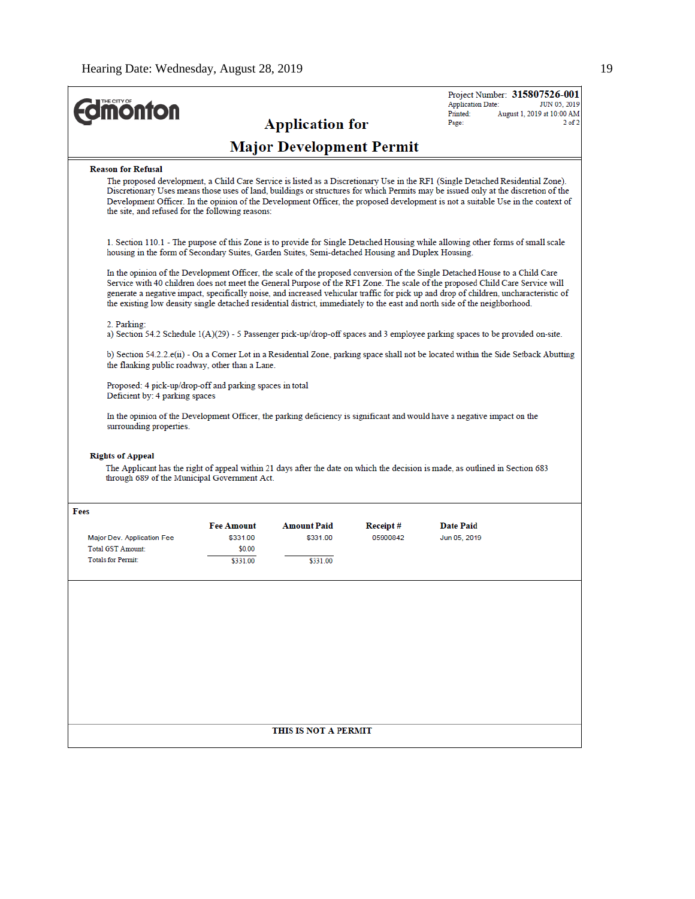| <b>Application for</b><br>Page:<br><b>Major Development Permit</b><br><b>Reason for Refusal</b><br>The proposed development, a Child Care Service is listed as a Discretionary Use in the RF1 (Single Detached Residential Zone).<br>Discretionary Uses means those uses of land, buildings or structures for which Permits may be issued only at the discretion of the<br>Development Officer. In the opinion of the Development Officer, the proposed development is not a suitable Use in the context of<br>the site, and refused for the following reasons:<br>1. Section 110.1 - The purpose of this Zone is to provide for Single Detached Housing while allowing other forms of small scale<br>housing in the form of Secondary Suites, Garden Suites, Semi-detached Housing and Duplex Housing.<br>In the opinion of the Development Officer, the scale of the proposed conversion of the Single Detached House to a Child Care<br>Service with 40 children does not meet the General Purpose of the RF1 Zone. The scale of the proposed Child Care Service will<br>generate a negative impact, specifically noise, and increased vehicular traffic for pick up and drop of children, uncharacteristic of<br>the existing low density single detached residential district, immediately to the east and north side of the neighborhood.<br>2. Parking:<br>a) Section 54.2 Schedule $1(A)(29)$ - 5 Passenger pick-up/drop-off spaces and 3 employee parking spaces to be provided on-site.<br>b) Section 54.2.2.e(ii) - On a Corner Lot in a Residential Zone, parking space shall not be located within the Side Setback Abutting<br>the flanking public roadway, other than a Lane.<br>Proposed: 4 pick-up/drop-off and parking spaces in total<br>Deficient by: 4 parking spaces<br>In the opinion of the Development Officer, the parking deficiency is significant and would have a negative impact on the<br>surrounding properties.<br><b>Rights of Appeal</b><br>The Applicant has the right of appeal within 21 days after the date on which the decision is made, as outlined in Section 683<br>through 689 of the Municipal Government Act.<br>Fees<br><b>Fee Amount</b><br><b>Amount Paid</b><br><b>Date Paid</b><br>Receipt#<br>\$331.00<br>\$331.00<br>05900842<br>Major Dev. Application Fee<br>Jun 05, 2019<br>Total GST Amount:<br>\$0.00<br><b>Totals for Permit:</b><br>\$331.00<br>\$331.00 | THE CITY OF<br><b>ionton</b> |  | Project Number: 315807526-001<br><b>Application Date:</b><br>JUN 05, 2019<br>Printed:<br>August 1, 2019 at 10:00 AM |
|------------------------------------------------------------------------------------------------------------------------------------------------------------------------------------------------------------------------------------------------------------------------------------------------------------------------------------------------------------------------------------------------------------------------------------------------------------------------------------------------------------------------------------------------------------------------------------------------------------------------------------------------------------------------------------------------------------------------------------------------------------------------------------------------------------------------------------------------------------------------------------------------------------------------------------------------------------------------------------------------------------------------------------------------------------------------------------------------------------------------------------------------------------------------------------------------------------------------------------------------------------------------------------------------------------------------------------------------------------------------------------------------------------------------------------------------------------------------------------------------------------------------------------------------------------------------------------------------------------------------------------------------------------------------------------------------------------------------------------------------------------------------------------------------------------------------------------------------------------------------------------------------------------------------------------------------------------------------------------------------------------------------------------------------------------------------------------------------------------------------------------------------------------------------------------------------------------------------------------------------------------------------------------------------------------------------------------------------------------------------------------------------------------------------|------------------------------|--|---------------------------------------------------------------------------------------------------------------------|
|                                                                                                                                                                                                                                                                                                                                                                                                                                                                                                                                                                                                                                                                                                                                                                                                                                                                                                                                                                                                                                                                                                                                                                                                                                                                                                                                                                                                                                                                                                                                                                                                                                                                                                                                                                                                                                                                                                                                                                                                                                                                                                                                                                                                                                                                                                                                                                                                                        |                              |  | $2$ of $2$                                                                                                          |
|                                                                                                                                                                                                                                                                                                                                                                                                                                                                                                                                                                                                                                                                                                                                                                                                                                                                                                                                                                                                                                                                                                                                                                                                                                                                                                                                                                                                                                                                                                                                                                                                                                                                                                                                                                                                                                                                                                                                                                                                                                                                                                                                                                                                                                                                                                                                                                                                                        |                              |  |                                                                                                                     |
|                                                                                                                                                                                                                                                                                                                                                                                                                                                                                                                                                                                                                                                                                                                                                                                                                                                                                                                                                                                                                                                                                                                                                                                                                                                                                                                                                                                                                                                                                                                                                                                                                                                                                                                                                                                                                                                                                                                                                                                                                                                                                                                                                                                                                                                                                                                                                                                                                        |                              |  |                                                                                                                     |
|                                                                                                                                                                                                                                                                                                                                                                                                                                                                                                                                                                                                                                                                                                                                                                                                                                                                                                                                                                                                                                                                                                                                                                                                                                                                                                                                                                                                                                                                                                                                                                                                                                                                                                                                                                                                                                                                                                                                                                                                                                                                                                                                                                                                                                                                                                                                                                                                                        |                              |  |                                                                                                                     |
|                                                                                                                                                                                                                                                                                                                                                                                                                                                                                                                                                                                                                                                                                                                                                                                                                                                                                                                                                                                                                                                                                                                                                                                                                                                                                                                                                                                                                                                                                                                                                                                                                                                                                                                                                                                                                                                                                                                                                                                                                                                                                                                                                                                                                                                                                                                                                                                                                        |                              |  |                                                                                                                     |
|                                                                                                                                                                                                                                                                                                                                                                                                                                                                                                                                                                                                                                                                                                                                                                                                                                                                                                                                                                                                                                                                                                                                                                                                                                                                                                                                                                                                                                                                                                                                                                                                                                                                                                                                                                                                                                                                                                                                                                                                                                                                                                                                                                                                                                                                                                                                                                                                                        |                              |  |                                                                                                                     |
|                                                                                                                                                                                                                                                                                                                                                                                                                                                                                                                                                                                                                                                                                                                                                                                                                                                                                                                                                                                                                                                                                                                                                                                                                                                                                                                                                                                                                                                                                                                                                                                                                                                                                                                                                                                                                                                                                                                                                                                                                                                                                                                                                                                                                                                                                                                                                                                                                        |                              |  |                                                                                                                     |
|                                                                                                                                                                                                                                                                                                                                                                                                                                                                                                                                                                                                                                                                                                                                                                                                                                                                                                                                                                                                                                                                                                                                                                                                                                                                                                                                                                                                                                                                                                                                                                                                                                                                                                                                                                                                                                                                                                                                                                                                                                                                                                                                                                                                                                                                                                                                                                                                                        |                              |  |                                                                                                                     |
|                                                                                                                                                                                                                                                                                                                                                                                                                                                                                                                                                                                                                                                                                                                                                                                                                                                                                                                                                                                                                                                                                                                                                                                                                                                                                                                                                                                                                                                                                                                                                                                                                                                                                                                                                                                                                                                                                                                                                                                                                                                                                                                                                                                                                                                                                                                                                                                                                        |                              |  |                                                                                                                     |
|                                                                                                                                                                                                                                                                                                                                                                                                                                                                                                                                                                                                                                                                                                                                                                                                                                                                                                                                                                                                                                                                                                                                                                                                                                                                                                                                                                                                                                                                                                                                                                                                                                                                                                                                                                                                                                                                                                                                                                                                                                                                                                                                                                                                                                                                                                                                                                                                                        |                              |  |                                                                                                                     |
|                                                                                                                                                                                                                                                                                                                                                                                                                                                                                                                                                                                                                                                                                                                                                                                                                                                                                                                                                                                                                                                                                                                                                                                                                                                                                                                                                                                                                                                                                                                                                                                                                                                                                                                                                                                                                                                                                                                                                                                                                                                                                                                                                                                                                                                                                                                                                                                                                        |                              |  |                                                                                                                     |
|                                                                                                                                                                                                                                                                                                                                                                                                                                                                                                                                                                                                                                                                                                                                                                                                                                                                                                                                                                                                                                                                                                                                                                                                                                                                                                                                                                                                                                                                                                                                                                                                                                                                                                                                                                                                                                                                                                                                                                                                                                                                                                                                                                                                                                                                                                                                                                                                                        |                              |  |                                                                                                                     |
|                                                                                                                                                                                                                                                                                                                                                                                                                                                                                                                                                                                                                                                                                                                                                                                                                                                                                                                                                                                                                                                                                                                                                                                                                                                                                                                                                                                                                                                                                                                                                                                                                                                                                                                                                                                                                                                                                                                                                                                                                                                                                                                                                                                                                                                                                                                                                                                                                        |                              |  |                                                                                                                     |
|                                                                                                                                                                                                                                                                                                                                                                                                                                                                                                                                                                                                                                                                                                                                                                                                                                                                                                                                                                                                                                                                                                                                                                                                                                                                                                                                                                                                                                                                                                                                                                                                                                                                                                                                                                                                                                                                                                                                                                                                                                                                                                                                                                                                                                                                                                                                                                                                                        |                              |  |                                                                                                                     |
| THIS IS NOT A PERMIT                                                                                                                                                                                                                                                                                                                                                                                                                                                                                                                                                                                                                                                                                                                                                                                                                                                                                                                                                                                                                                                                                                                                                                                                                                                                                                                                                                                                                                                                                                                                                                                                                                                                                                                                                                                                                                                                                                                                                                                                                                                                                                                                                                                                                                                                                                                                                                                                   |                              |  |                                                                                                                     |